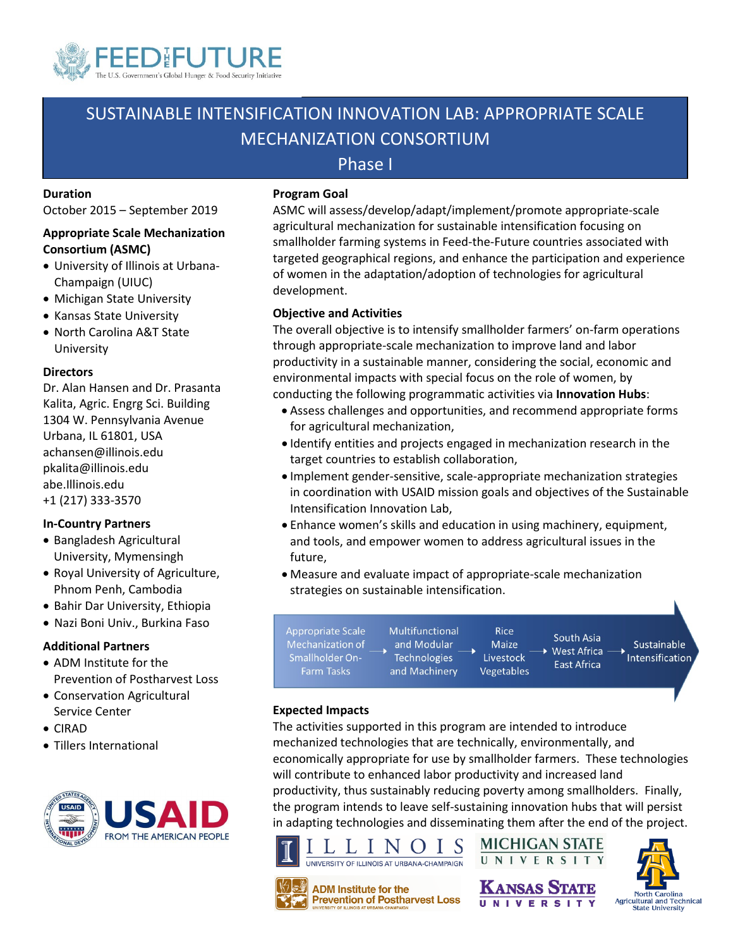

## SUSTAINABLE INTENSIFICATION INNOVATION LAB: APPROPRIATE SCALE MECHANIZATION CONSORTIUM

### Phase I

#### **Duration**

October 2015 – September 2019

#### **Appropriate Scale Mechanization Consortium (ASMC)**

- University of Illinois at Urbana-Champaign (UIUC)
- Michigan State University
- Kansas State University
- North Carolina A&T State University

#### **Directors**

Dr. Alan Hansen and Dr. Prasanta Kalita, Agric. Engrg Sci. Building 1304 W. Pennsylvania Avenue Urbana, IL 61801, USA achansen@illinois.edu pkalita@illinois.edu abe.Illinois.edu +1 (217) 333-3570

#### **In-Country Partners**

- Bangladesh Agricultural University, Mymensingh
- Royal University of Agriculture, Phnom Penh, Cambodia
- Bahir Dar University, Ethiopia
- Nazi Boni Univ., Burkina Faso

#### **Additional Partners**

- ADM Institute for the Prevention of Postharvest Loss
- Conservation Agricultural Service Center
- CIRAD
- Tillers International



#### **Program Goal**

ASMC will assess/develop/adapt/implement/promote appropriate-scale agricultural mechanization for sustainable intensification focusing on smallholder farming systems in Feed-the-Future countries associated with targeted geographical regions, and enhance the participation and experience of women in the adaptation/adoption of technologies for agricultural development.

#### **Objective and Activities**

The overall objective is to intensify smallholder farmers' on-farm operations through appropriate-scale mechanization to improve land and labor productivity in a sustainable manner, considering the social, economic and environmental impacts with special focus on the role of women, by conducting the following programmatic activities via **Innovation Hubs**:

- Assess challenges and opportunities, and recommend appropriate forms for agricultural mechanization,
- Identify entities and projects engaged in mechanization research in the target countries to establish collaboration,
- Implement gender-sensitive, scale-appropriate mechanization strategies in coordination with USAID mission goals and objectives of the Sustainable Intensification Innovation Lab,
- Enhance women's skills and education in using machinery, equipment, and tools, and empower women to address agricultural issues in the future,
- Measure and evaluate impact of appropriate-scale mechanization strategies on sustainable intensification.



#### **Expected Impacts**

The activities supported in this program are intended to introduce mechanized technologies that are technically, environmentally, and economically appropriate for use by smallholder farmers. These technologies will contribute to enhanced labor productivity and increased land productivity, thus sustainably reducing poverty among smallholders. Finally, the program intends to leave self-sustaining innovation hubs that will persist in adapting technologies and disseminating them after the end of the project.







**MICHIGAN STATE** 



**Prevention of Postharvest Loss**